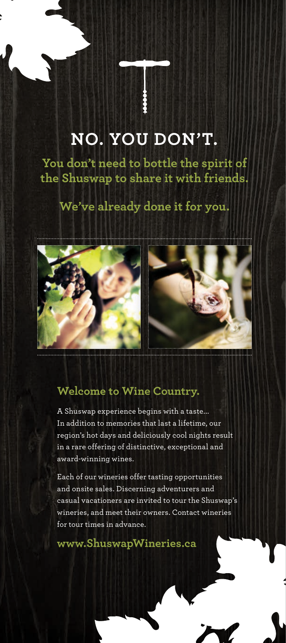## **NO. YOU DON'T.**

**You don't need to bottle the spirit of the Shuswap to share it with friends.** 

## **We've already done it for you.**



## **Welcome to Wine Country.**

A Shuswap experience begins with a taste... In addition to memories that last a lifetime, our region's hot days and deliciously cool nights result in a rare offering of distinctive, exceptional and award-winning wines.

Each of our wineries offer tasting opportunities and onsite sales. Discerning adventurers and casual vacationers are invited to tour the Shuswap's wineries, and meet their owners. Contact wineries for tour times in advance.

**www.ShuswapWineries.ca**